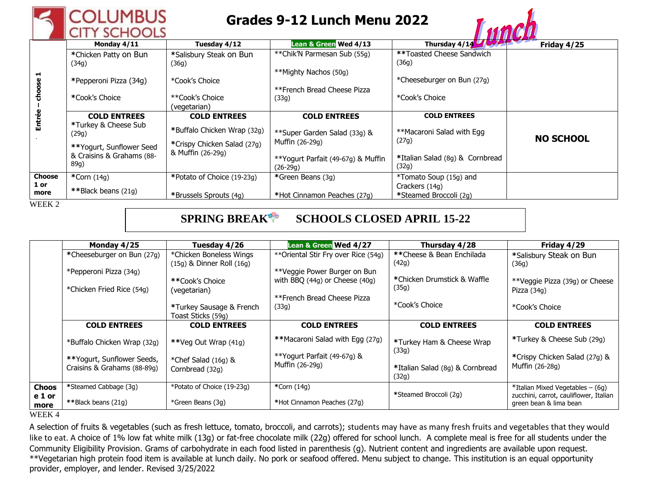

## **Grades 9-12 Lunch Menu 2022**



|                       |                           |                             | П. ПІ П П 1950                     |                                 |                  |
|-----------------------|---------------------------|-----------------------------|------------------------------------|---------------------------------|------------------|
| H<br>choose<br>Entrée | Monday 4/11               | Tuesday 4/12                | Lean & Green Wed 4/13              | Thursday $4/14$ $3/54$          | Friday 4/25      |
|                       | *Chicken Patty on Bun     | *Salisbury Steak on Bun     | **Chik'N Parmesan Sub (55g)        | **Toasted Cheese Sandwich       |                  |
|                       | (34g)                     | (36g)                       |                                    | (36g)                           |                  |
|                       |                           |                             | **Mighty Nachos (50g)              |                                 |                  |
|                       | *Pepperoni Pizza (34g)    | *Cook's Choice              |                                    | *Cheeseburger on Bun (27g)      |                  |
|                       |                           |                             | **French Bread Cheese Pizza        |                                 |                  |
|                       | *Cook's Choice            | **Cook's Choice             | (33g)                              | *Cook's Choice                  |                  |
|                       |                           | (vegetarian)                |                                    |                                 |                  |
|                       | <b>COLD ENTREES</b>       | <b>COLD ENTREES</b>         | <b>COLD ENTREES</b>                | <b>COLD ENTREES</b>             |                  |
|                       | *Turkey & Cheese Sub      | *Buffalo Chicken Wrap (32g) |                                    | **Macaroni Salad with Egg       |                  |
|                       | (29g)                     |                             | **Super Garden Salad (33g) &       | (27g)                           | <b>NO SCHOOL</b> |
|                       | **Yogurt, Sunflower Seed  | *Crispy Chicken Salad (27g) | Muffin (26-29g)                    |                                 |                  |
|                       | & Craisins & Grahams (88- | & Muffin (26-29g)           | **Yogurt Parfait (49-67g) & Muffin | *Italian Salad (8g) & Cornbread |                  |
|                       | 89g)                      |                             | $(26-29q)$                         | (32g)                           |                  |
| <b>Choose</b>         | $*Corn(14g)$              | *Potato of Choice (19-23g)  | *Green Beans (3g)                  | *Tomato Soup (15g) and          |                  |
| 1 or<br>more          | **Black beans (21g)       |                             |                                    | Crackers (14g)                  |                  |
|                       |                           | *Brussels Sprouts (4g)      | *Hot Cinnamon Peaches (27g)        | *Steamed Broccoli (2g)          |                  |
| WEEK 2                |                           |                             |                                    |                                 |                  |

## **SPRING BREAK SCHOOLS CLOSED APRIL 15-22**

|                | Monday 4/25                 | Tuesday 4/26                                   | <b>Lean &amp; Green Wed 4/27</b>    | Thursday 4/28                            | Friday 4/29                                                      |
|----------------|-----------------------------|------------------------------------------------|-------------------------------------|------------------------------------------|------------------------------------------------------------------|
|                | *Cheeseburger on Bun (27g)  | *Chicken Boneless Wings                        | **Oriental Stir Fry over Rice (54g) | **Cheese & Bean Enchilada                | *Salisbury Steak on Bun                                          |
|                | *Pepperoni Pizza (34g)      | (15g) & Dinner Roll (16g)                      | **Veggie Power Burger on Bun        | (42g)                                    | (36g)                                                            |
|                | *Chicken Fried Rice (54g)   | **Cook's Choice                                | with BBQ $(44g)$ or Cheese $(40g)$  | *Chicken Drumstick & Waffle<br>(35g)     | **Veggie Pizza (39g) or Cheese                                   |
|                |                             | (vegetarian)                                   | **French Bread Cheese Pizza         | *Cook's Choice                           | Pizza (34g)                                                      |
|                |                             | *Turkey Sausage & French<br>Toast Sticks (59g) | (33g)                               |                                          | *Cook's Choice                                                   |
|                | <b>COLD ENTREES</b>         | <b>COLD ENTREES</b>                            | <b>COLD ENTREES</b>                 | <b>COLD ENTREES</b>                      | <b>COLD ENTREES</b>                                              |
|                | *Buffalo Chicken Wrap (32g) | **Veg Out Wrap (41g)                           | **Macaroni Salad with Egg (27g)     | *Turkey Ham & Cheese Wrap                | *Turkey & Cheese Sub (29g)                                       |
|                | **Yogurt, Sunflower Seeds,  | *Chef Salad (16g) &                            | **Yogurt Parfait (49-67g) &         | (33g)                                    | *Crispy Chicken Salad (27g) &                                    |
|                | Craisins & Grahams (88-89g) | Cornbread (32g)                                | Muffin (26-29g)                     | *Italian Salad (8g) & Cornbread<br>(32g) | Muffin (26-28g)                                                  |
| <b>Choos</b>   | *Steamed Cabbage (3g)       | *Potato of Choice (19-23g)                     | *Corn (14g)                         |                                          | *Italian Mixed Vegetables – (6g)                                 |
| e 1 or<br>more | **Black beans (21g)         | *Green Beans (3g)                              | *Hot Cinnamon Peaches (27g)         | *Steamed Broccoli (2g)                   | zucchini, carrot, cauliflower, Italian<br>green bean & lima bean |

WEEK 4

A selection of fruits & vegetables (such as fresh lettuce, tomato, broccoli, and carrots); students may have as many fresh fruits and vegetables that they would like to eat. A choice of 1% low fat white milk (13g) or fat-free chocolate milk (22g) offered for school lunch. A complete meal is free for all students under the Community Eligibility Provision. Grams of carbohydrate in each food listed in parenthesis (g). Nutrient content and ingredients are available upon request. \*\*Vegetarian high protein food item is available at lunch daily. No pork or seafood offered. Menu subject to change. This institution is an equal opportunity provider, employer, and lender. Revised 3/25/2022